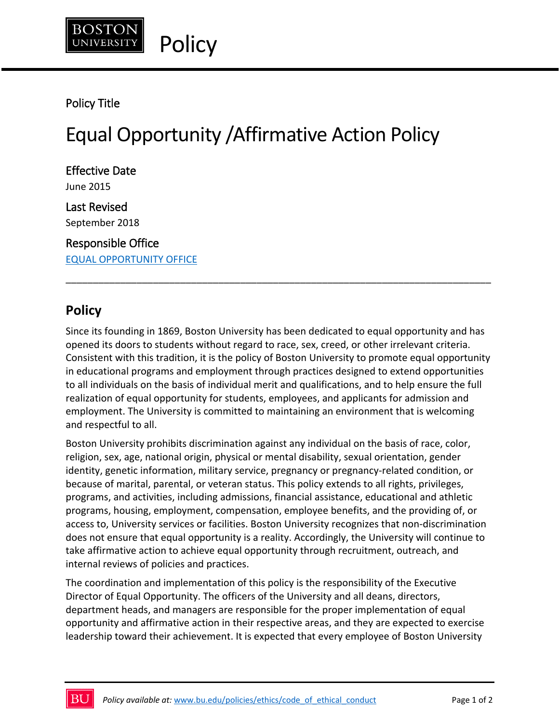

## Policy Title

# Equal Opportunity /Affirmative Action Policy

Effective Date June 2015 Last Revised September 2018

Responsible Office EQUAL OPPORTUNITY OFFICE

## **Policy**

Since its founding in 1869, Boston University has been dedicated to equal opportunity and has opened its doors to students without regard to race, sex, creed, or other irrelevant criteria. Consistent with this tradition, it is the policy of Boston University to promote equal opportunity in educational programs and employment through practices designed to extend opportunities to all individuals on the basis of individual merit and qualifications, and to help ensure the full realization of equal opportunity for students, employees, and applicants for admission and employment. The University is committed to maintaining an environment that is welcoming and respectful to all.

\_\_\_\_\_\_\_\_\_\_\_\_\_\_\_\_\_\_\_\_\_\_\_\_\_\_\_\_\_\_\_\_\_\_\_\_\_\_\_\_\_\_\_\_\_\_\_\_\_\_\_\_\_\_\_\_\_\_\_\_\_\_\_\_\_\_\_\_\_\_\_\_\_\_\_\_\_\_

Boston University prohibits discrimination against any individual on the basis of race, color, religion, sex, age, national origin, physical or mental disability, sexual orientation, gender identity, genetic information, military service, pregnancy or pregnancy-related condition, or because of marital, parental, or veteran status. This policy extends to all rights, privileges, programs, and activities, including admissions, financial assistance, educational and athletic programs, housing, employment, compensation, employee benefits, and the providing of, or access to, University services or facilities. Boston University recognizes that non-discrimination does not ensure that equal opportunity is a reality. Accordingly, the University will continue to take affirmative action to achieve equal opportunity through recruitment, outreach, and internal reviews of policies and practices.

The coordination and implementation of this policy is the responsibility of the Executive Director of Equal Opportunity. The officers of the University and all deans, directors, department heads, and managers are responsible for the proper implementation of equal opportunity and affirmative action in their respective areas, and they are expected to exercise leadership toward their achievement. It is expected that every employee of Boston University

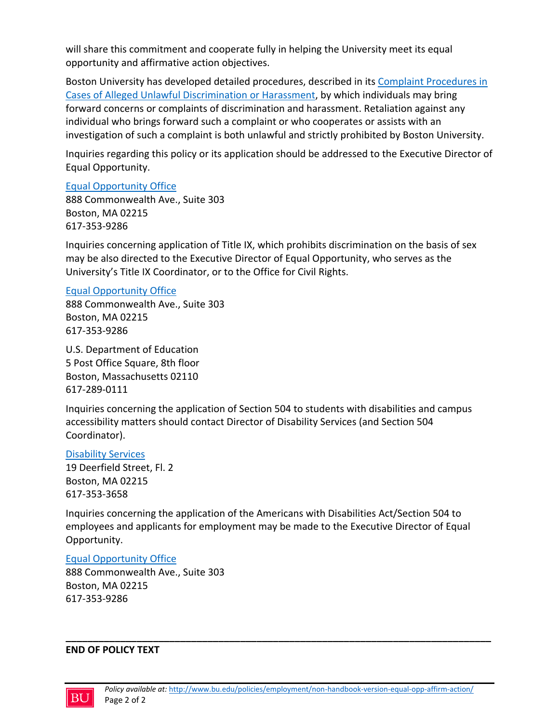will share this commitment and cooperate fully in helping the University meet its equal opportunity and affirmative action objectives.

Boston University has developed detailed procedures, described in its Complaint Procedures in Cases of Alleged Unlawful Discrimination or Harassment, by which individuals may bring forward concerns or complaints of discrimination and harassment. Retaliation against any individual who brings forward such a complaint or who cooperates or assists with an investigation of such a complaint is both unlawful and strictly prohibited by Boston University.

Inquiries regarding this policy or its application should be addressed to the Executive Director of Equal Opportunity.

### Equal Opportunity Office

888 Commonwealth Ave., Suite 303 Boston, MA 02215 617-353-9286

Inquiries concerning application of Title IX, which prohibits discrimination on the basis of sex may be also directed to the Executive Director of Equal Opportunity, who serves as the University's Title IX Coordinator, or to the Office for Civil Rights.

### Equal Opportunity Office

888 Commonwealth Ave., Suite 303 Boston, MA 02215 617-353-9286

U.S. Department of Education 5 Post Office Square, 8th floor Boston, Massachusetts 02110 617-289-0111

Inquiries concerning the application of Section 504 to students with disabilities and campus accessibility matters should contact Director of Disability Services (and Section 504 Coordinator).

### Disability Services

19 Deerfield Street, Fl. 2 Boston, MA 02215 617-353-3658

Inquiries concerning the application of the Americans with Disabilities Act/Section 504 to employees and applicants for employment may be made to the Executive Director of Equal Opportunity.

### Equal Opportunity Office

888 Commonwealth Ave., Suite 303 Boston, MA 02215 617-353-9286

#### **END OF POLICY TEXT**



**\_\_\_\_\_\_\_\_\_\_\_\_\_\_\_\_\_\_\_\_\_\_\_\_\_\_\_\_\_\_\_\_\_\_\_\_\_\_\_\_\_\_\_\_\_\_\_\_\_\_\_\_\_\_\_\_\_\_\_\_\_\_\_\_\_\_\_\_\_\_\_\_\_\_\_\_\_\_**